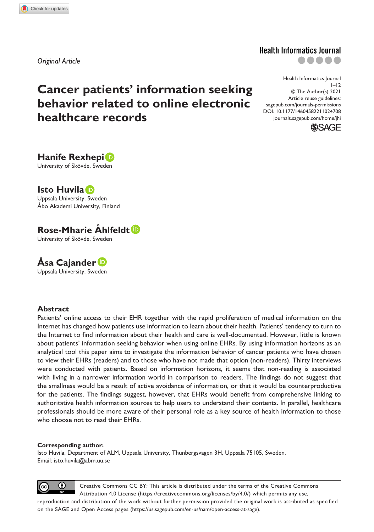*Original Article*

# **Cancer patients' information seeking behavior related to online electronic healthcare records**

DOI: 10.1177/14604582211024708 Health Informatics Journal  $1 - 12$ © The Author(s) 2021 Article reuse guidelines: [sagepub.com/journals-permissions](https://uk.sagepub.com/en-gb/journals-permissions) [journals.sagepub.com/home/jhi](https://journals.sagepub.com/home/jhi)

**Health Informatics Journal** 

.....



**Hanife Rexhepi** University of Skövde, Sweden

**Isto Huvila** Uppsala University, Sweden Åbo Akademi University, Finland

#### **Rose-Mharie Åhlfeldt** University of Skövde, Sweden

**Åsa Cajander** Uppsala University, Sweden

#### **Abstract**

Patients' online access to their EHR together with the rapid proliferation of medical information on the Internet has changed how patients use information to learn about their health. Patients' tendency to turn to the Internet to find information about their health and care is well-documented. However, little is known about patients' information seeking behavior when using online EHRs. By using information horizons as an analytical tool this paper aims to investigate the information behavior of cancer patients who have chosen to view their EHRs (readers) and to those who have not made that option (non-readers). Thirty interviews were conducted with patients. Based on information horizons, it seems that non-reading is associated with living in a narrower information world in comparison to readers. The findings do not suggest that the smallness would be a result of active avoidance of information, or that it would be counterproductive for the patients. The findings suggest, however, that EHRs would benefit from comprehensive linking to authoritative health information sources to help users to understand their contents. In parallel, healthcare professionals should be more aware of their personal role as a key source of health information to those who choose not to read their EHRs.

#### **Corresponding author:**

Isto Huvila, Department of ALM, Uppsala University, Thunbergsvägen 3H, Uppsala 75105, Sweden. Email: [isto.huvila@abm.uu.se](mailto:isto.huvila@abm.uu.se)



Creative Commons CC BY: This article is distributed under the terms of the Creative Commons Attribution 4.0 License (https://creativecommons.org/licenses/by/4.0/) which permits any use,

reproduction and distribution of the work without further permission provided the original work is attributed as specified on the SAGE and Open Access pages (https://us.sagepub.com/en-us/nam/open-access-at-sage).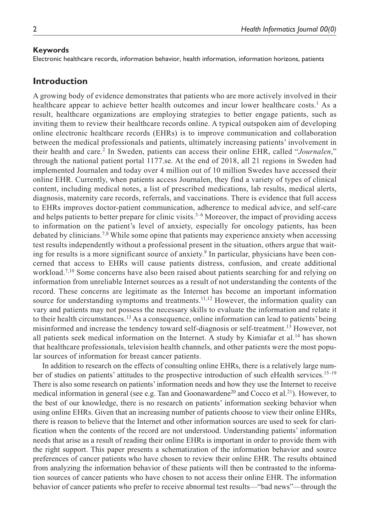#### **Keywords**

Electronic healthcare records, information behavior, health information, information horizons, patients

### **Introduction**

A growing body of evidence demonstrates that patients who are more actively involved in their healthcare appear to achieve better health outcomes and incur lower healthcare costs.<sup>1</sup> As a result, healthcare organizations are employing strategies to better engage patients, such as inviting them to review their healthcare records online. A typical outspoken aim of developing online electronic healthcare records (EHRs) is to improve communication and collaboration between the medical professionals and patients, ultimately increasing patients' involvement in their health and care.<sup>2</sup> In Sweden, patients can access their online EHR, called "*Journalen*," through the national patient portal 1177.se. At the end of 2018, all 21 regions in Sweden had implemented Journalen and today over 4 million out of 10 million Swedes have accessed their online EHR. Currently, when patients access Journalen, they find a variety of types of clinical content, including medical notes, a list of prescribed medications, lab results, medical alerts, diagnosis, maternity care records, referrals, and vaccinations. There is evidence that full access to EHRs improves doctor-patient communication, adherence to medical advice, and self-care and helps patients to better prepare for clinic visits. $3-6$  Moreover, the impact of providing access to information on the patient's level of anxiety, especially for oncology patients, has been debated by clinicians.<sup>7,8</sup> While some opine that patients may experience anxiety when accessing test results independently without a professional present in the situation, others argue that waiting for results is a more significant source of anxiety.<sup>9</sup> In particular, physicians have been concerned that access to EHRs will cause patients distress, confusion, and create additional workload.<sup>7,10</sup> Some concerns have also been raised about patients searching for and relying on information from unreliable Internet sources as a result of not understanding the contents of the record. These concerns are legitimate as the Internet has become an important information source for understanding symptoms and treatments.<sup>11,12</sup> However, the information quality can vary and patients may not possess the necessary skills to evaluate the information and relate it to their health circumstances.13 As a consequence, online information can lead to patients' being misinformed and increase the tendency toward self-diagnosis or self-treatment.13 However, not all patients seek medical information on the Internet. A study by Kimiafar et al.<sup>14</sup> has shown that healthcare professionals, television health channels, and other patients were the most popular sources of information for breast cancer patients.

In addition to research on the effects of consulting online EHRs, there is a relatively large number of studies on patients' attitudes to the prospective introduction of such eHealth services.15–19 There is also some research on patients' information needs and how they use the Internet to receive medical information in general (see e.g. Tan and Goonawardene<sup>20</sup> and Cocco et al.<sup>21</sup>). However, to the best of our knowledge, there is no research on patients' information seeking behavior when using online EHRs. Given that an increasing number of patients choose to view their online EHRs, there is reason to believe that the Internet and other information sources are used to seek for clarification when the contents of the record are not understood. Understanding patients' information needs that arise as a result of reading their online EHRs is important in order to provide them with the right support. This paper presents a schematization of the information behavior and source preferences of cancer patients who have chosen to review their online EHR. The results obtained from analyzing the information behavior of these patients will then be contrasted to the information sources of cancer patients who have chosen to not access their online EHR. The information behavior of cancer patients who prefer to receive abnormal test results—"bad news"—through the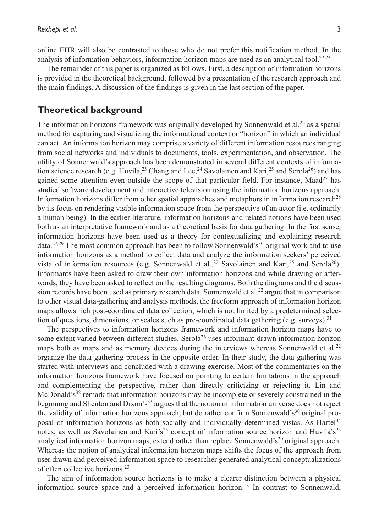online EHR will also be contrasted to those who do not prefer this notification method. In the analysis of information behaviors, information horizon maps are used as an analytical tool.<sup>22,23</sup>

The remainder of this paper is organized as follows. First, a description of information horizons is provided in the theoretical background, followed by a presentation of the research approach and the main findings. A discussion of the findings is given in the last section of the paper.

#### **Theoretical background**

The information horizons framework was originally developed by Sonnenwald et al.<sup>22</sup> as a spatial method for capturing and visualizing the informational context or "horizon" in which an individual can act. An information horizon may comprise a variety of different information resources ranging from social networks and individuals to documents, tools, experimentation, and observation. The utility of Sonnenwald's approach has been demonstrated in several different contexts of information science research (e.g. Huvila,  $^{23}$  Chang and Lee,  $^{24}$  Savolainen and Kari,  $^{25}$  and Serola<sup>26</sup>) and has gained some attention even outside the scope of that particular field. For instance, Maad<sup>27</sup> has studied software development and interactive television using the information horizons approach. Information horizons differ from other spatial approaches and metaphors in information research<sup>28</sup> by its focus on rendering visible information space from the perspective of an actor (i.e. ordinarily a human being). In the earlier literature, information horizons and related notions have been used both as an interpretative framework and as a theoretical basis for data gathering. In the first sense, information horizons have been used as a theory for contextualizing and explaining research data.<sup>27,29</sup> The most common approach has been to follow Sonnenwald's<sup>30</sup> original work and to use information horizons as a method to collect data and analyze the information seekers' perceived vista of information resources (e.g. Sonnenwald et al., <sup>22</sup> Savolainen and Kari, <sup>25</sup> and Serola<sup>26</sup>). Informants have been asked to draw their own information horizons and while drawing or afterwards, they have been asked to reflect on the resulting diagrams. Both the diagrams and the discussion records have been used as primary research data. Sonnenwald et al.<sup>22</sup> argue that in comparison to other visual data-gathering and analysis methods, the freeform approach of information horizon maps allows rich post-coordinated data collection, which is not limited by a predetermined selection of questions, dimensions, or scales such as pre-coordinated data gathering (e.g. surveys).<sup>31</sup>

The perspectives to information horizons framework and information horizon maps have to some extent varied between different studies. Serola<sup>26</sup> uses informant-drawn information horizon maps both as maps and as memory devices during the interviews whereas Sonnenwald et al.<sup>22</sup> organize the data gathering process in the opposite order. In their study, the data gathering was started with interviews and concluded with a drawing exercise. Most of the commentaries on the information horizons framework have focused on pointing to certain limitations in the approach and complementing the perspective, rather than directly criticizing or rejecting it. Lin and McDonald's<sup>32</sup> remark that information horizons may be incomplete or severely constrained in the beginning and Shenton and Dixon's<sup>33</sup> argues that the notion of information universe does not reject the validity of information horizons approach, but do rather confirm Sonnenwald's $30$  original proposal of information horizons as both socially and individually determined vistas. As Hartel<sup>34</sup> notes, as well as Savolainen and Kari's<sup>25</sup> concept of information source horizon and Huvila's<sup>23</sup> analytical information horizon maps, extend rather than replace Sonnenwald's<sup>30</sup> original approach. Whereas the notion of analytical information horizon maps shifts the focus of the approach from user drawn and perceived information space to researcher generated analytical conceptualizations of often collective horizons.23

The aim of information source horizons is to make a clearer distinction between a physical information source space and a perceived information horizon.<sup>25</sup> In contrast to Sonnenwald,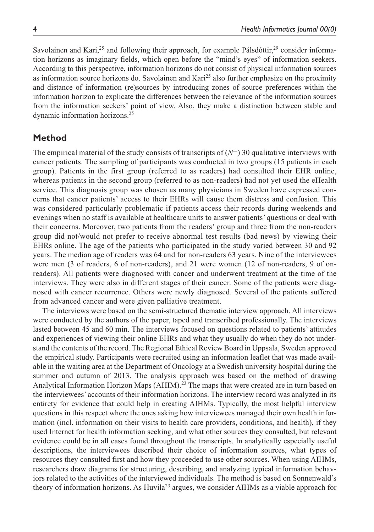Savolainen and Kari,<sup>25</sup> and following their approach, for example Pálsdóttir,<sup>29</sup> consider information horizons as imaginary fields, which open before the "mind's eyes" of information seekers. According to this perspective, information horizons do not consist of physical information sources as information source horizons do. Savolainen and Kari<sup>25</sup> also further emphasize on the proximity and distance of information (re)sources by introducing zones of source preferences within the information horizon to explicate the differences between the relevance of the information sources from the information seekers' point of view. Also, they make a distinction between stable and dynamic information horizons.25

## **Method**

The empirical material of the study consists of transcripts of  $(N=)$  30 qualitative interviews with cancer patients. The sampling of participants was conducted in two groups (15 patients in each group). Patients in the first group (referred to as readers) had consulted their EHR online, whereas patients in the second group (referred to as non-readers) had not yet used the eHealth service. This diagnosis group was chosen as many physicians in Sweden have expressed concerns that cancer patients' access to their EHRs will cause them distress and confusion. This was considered particularly problematic if patients access their records during weekends and evenings when no staff is available at healthcare units to answer patients' questions or deal with their concerns. Moreover, two patients from the readers' group and three from the non-readers group did not/would not prefer to receive abnormal test results (bad news) by viewing their EHRs online. The age of the patients who participated in the study varied between 30 and 92 years. The median age of readers was 64 and for non-readers 63 years. Nine of the interviewees were men (3 of readers, 6 of non-readers), and 21 were women (12 of non-readers, 9 of onreaders). All patients were diagnosed with cancer and underwent treatment at the time of the interviews. They were also in different stages of their cancer. Some of the patients were diagnosed with cancer recurrence. Others were newly diagnosed. Several of the patients suffered from advanced cancer and were given palliative treatment.

The interviews were based on the semi-structured thematic interview approach. All interviews were conducted by the authors of the paper, taped and transcribed professionally. The interviews lasted between 45 and 60 min. The interviews focused on questions related to patients' attitudes and experiences of viewing their online EHRs and what they usually do when they do not understand the contents of the record. The Regional Ethical Review Board in Uppsala, Sweden approved the empirical study. Participants were recruited using an information leaflet that was made available in the waiting area at the Department of Oncology at a Swedish university hospital during the summer and autumn of 2013. The analysis approach was based on the method of drawing Analytical Information Horizon Maps (AHIM).<sup>23</sup> The maps that were created are in turn based on the interviewees' accounts of their information horizons. The interview record was analyzed in its entirety for evidence that could help in creating AIHMs. Typically, the most helpful interview questions in this respect where the ones asking how interviewees managed their own health information (incl. information on their visits to health care providers, conditions, and health), if they used Internet for health information seeking, and what other sources they consulted, but relevant evidence could be in all cases found throughout the transcripts. In analytically especially useful descriptions, the interviewees described their choice of information sources, what types of resources they consulted first and how they proceeded to use other sources. When using AIHMs, researchers draw diagrams for structuring, describing, and analyzing typical information behaviors related to the activities of the interviewed individuals. The method is based on Sonnenwald's theory of information horizons. As Huvila<sup>23</sup> argues, we consider AIHMs as a viable approach for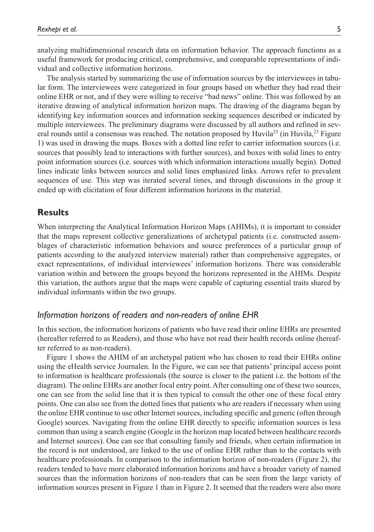analyzing multidimensional research data on information behavior. The approach functions as a useful framework for producing critical, comprehensive, and comparable representations of individual and collective information horizons.

The analysis started by summarizing the use of information sources by the interviewees in tabular form. The interviewees were categorized in four groups based on whether they had read their online EHR or not, and if they were willing to receive "bad news" online. This was followed by an iterative drawing of analytical information horizon maps. The drawing of the diagrams began by identifying key information sources and information seeking sequences described or indicated by multiple interviewees. The preliminary diagrams were discussed by all authors and refined in several rounds until a consensus was reached. The notation proposed by Huvila<sup>23</sup> (in Huvila,<sup>23</sup> Figure 1) was used in drawing the maps. Boxes with a dotted line refer to carrier information sources (i.e. sources that possibly lead to interactions with further sources), and boxes with solid lines to entry point information sources (i.e. sources with which information interactions usually begin). Dotted lines indicate links between sources and solid lines emphasized links. Arrows refer to prevalent sequences of use. This step was iterated several times, and through discussions in the group it ended up with elicitation of four different information horizons in the material.

#### **Results**

When interpreting the Analytical Information Horizon Maps (AHIMs), it is important to consider that the maps represent collective generalizations of archetypal patients (i.e. constructed assemblages of characteristic information behaviors and source preferences of a particular group of patients according to the analyzed interview material) rather than comprehensive aggregates, or exact representations, of individual interviewees' information horizons. There was considerable variation within and between the groups beyond the horizons represented in the AHIMs. Despite this variation, the authors argue that the maps were capable of capturing essential traits shared by individual informants within the two groups.

#### *Information horizons of readers and non-readers of online EHR*

In this section, the information horizons of patients who have read their online EHRs are presented (hereafter referred to as Readers), and those who have not read their health records online (hereafter referred to as non-readers).

Figure 1 shows the AHIM of an archetypal patient who has chosen to read their EHRs online using the eHealth service Journalen. In the Figure, we can see that patients' principal access point to information is healthcare professionals (the source is closer to the patient i.e. the bottom of the diagram). The online EHRs are another focal entry point. After consulting one of these two sources, one can see from the solid line that it is then typical to consult the other one of these focal entry points. One can also see from the dotted lines that patients who are readers if necessary when using the online EHR continue to use other Internet sources, including specific and generic (often through Google) sources. Navigating from the online EHR directly to specific information sources is less common than using a search engine (Google in the horizon map located between healthcare records and Internet sources). One can see that consulting family and friends, when certain information in the record is not understood, are linked to the use of online EHR rather than to the contacts with healthcare professionals. In comparison to the information horizon of non-readers (Figure 2), the readers tended to have more elaborated information horizons and have a broader variety of named sources than the information horizons of non-readers that can be seen from the large variety of information sources present in Figure 1 than in Figure 2. It seemed that the readers were also more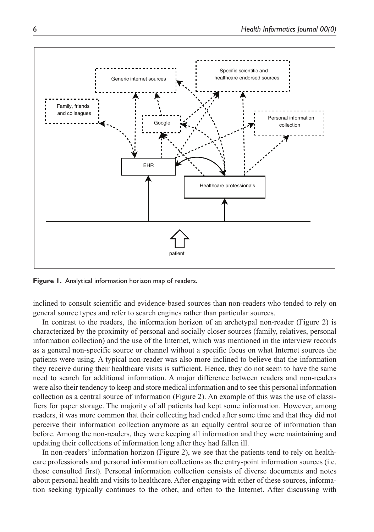

**Figure 1.** Analytical information horizon map of readers.

inclined to consult scientific and evidence-based sources than non-readers who tended to rely on general source types and refer to search engines rather than particular sources.

In contrast to the readers, the information horizon of an archetypal non-reader (Figure 2) is characterized by the proximity of personal and socially closer sources (family, relatives, personal information collection) and the use of the Internet, which was mentioned in the interview records as a general non-specific source or channel without a specific focus on what Internet sources the patients were using. A typical non-reader was also more inclined to believe that the information they receive during their healthcare visits is sufficient. Hence, they do not seem to have the same need to search for additional information. A major difference between readers and non-readers were also their tendency to keep and store medical information and to see this personal information collection as a central source of information (Figure 2). An example of this was the use of classifiers for paper storage. The majority of all patients had kept some information. However, among readers, it was more common that their collecting had ended after some time and that they did not perceive their information collection anymore as an equally central source of information than before. Among the non-readers, they were keeping all information and they were maintaining and updating their collections of information long after they had fallen ill.

In non-readers' information horizon (Figure 2), we see that the patients tend to rely on healthcare professionals and personal information collections as the entry-point information sources (i.e. those consulted first). Personal information collection consists of diverse documents and notes about personal health and visits to healthcare. After engaging with either of these sources, information seeking typically continues to the other, and often to the Internet. After discussing with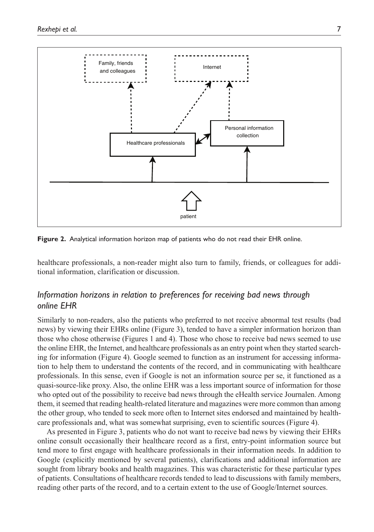

**Figure 2.** Analytical information horizon map of patients who do not read their EHR online.

healthcare professionals, a non-reader might also turn to family, friends, or colleagues for additional information, clarification or discussion.

## *Information horizons in relation to preferences for receiving bad news through online EHR*

Similarly to non-readers, also the patients who preferred to not receive abnormal test results (bad news) by viewing their EHRs online (Figure 3), tended to have a simpler information horizon than those who chose otherwise (Figures 1 and 4). Those who chose to receive bad news seemed to use the online EHR, the Internet, and healthcare professionals as an entry point when they started searching for information (Figure 4). Google seemed to function as an instrument for accessing information to help them to understand the contents of the record, and in communicating with healthcare professionals. In this sense, even if Google is not an information source per se, it functioned as a quasi-source-like proxy. Also, the online EHR was a less important source of information for those who opted out of the possibility to receive bad news through the eHealth service Journalen. Among them, it seemed that reading health-related literature and magazines were more common than among the other group, who tended to seek more often to Internet sites endorsed and maintained by healthcare professionals and, what was somewhat surprising, even to scientific sources (Figure 4).

As presented in Figure 3, patients who do not want to receive bad news by viewing their EHRs online consult occasionally their healthcare record as a first, entry-point information source but tend more to first engage with healthcare professionals in their information needs. In addition to Google (explicitly mentioned by several patients), clarifications and additional information are sought from library books and health magazines. This was characteristic for these particular types of patients. Consultations of healthcare records tended to lead to discussions with family members, reading other parts of the record, and to a certain extent to the use of Google/Internet sources.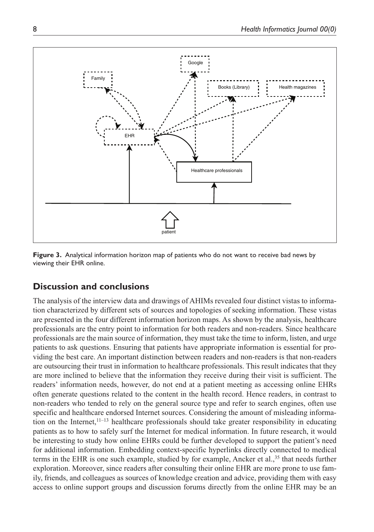

**Figure 3.** Analytical information horizon map of patients who do not want to receive bad news by viewing their EHR online.

# **Discussion and conclusions**

The analysis of the interview data and drawings of AHIMs revealed four distinct vistas to information characterized by different sets of sources and topologies of seeking information. These vistas are presented in the four different information horizon maps. As shown by the analysis, healthcare professionals are the entry point to information for both readers and non-readers. Since healthcare professionals are the main source of information, they must take the time to inform, listen, and urge patients to ask questions. Ensuring that patients have appropriate information is essential for providing the best care. An important distinction between readers and non-readers is that non-readers are outsourcing their trust in information to healthcare professionals. This result indicates that they are more inclined to believe that the information they receive during their visit is sufficient. The readers' information needs, however, do not end at a patient meeting as accessing online EHRs often generate questions related to the content in the health record. Hence readers, in contrast to non-readers who tended to rely on the general source type and refer to search engines, often use specific and healthcare endorsed Internet sources. Considering the amount of misleading information on the Internet,<sup>11-13</sup> healthcare professionals should take greater responsibility in educating patients as to how to safely surf the Internet for medical information. In future research, it would be interesting to study how online EHRs could be further developed to support the patient's need for additional information. Embedding context-specific hyperlinks directly connected to medical terms in the EHR is one such example, studied by for example, Ancker et al.,<sup>35</sup> that needs further exploration. Moreover, since readers after consulting their online EHR are more prone to use family, friends, and colleagues as sources of knowledge creation and advice, providing them with easy access to online support groups and discussion forums directly from the online EHR may be an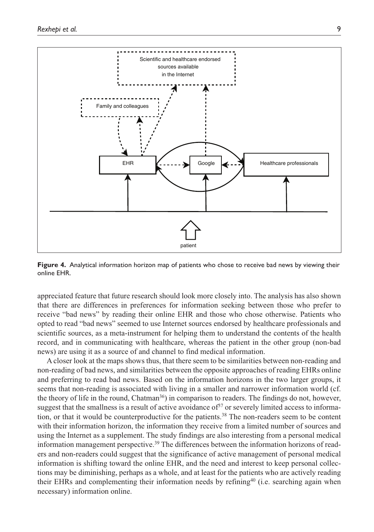

**Figure 4.** Analytical information horizon map of patients who chose to receive bad news by viewing their online EHR.

appreciated feature that future research should look more closely into. The analysis has also shown that there are differences in preferences for information seeking between those who prefer to receive "bad news" by reading their online EHR and those who chose otherwise. Patients who opted to read "bad news" seemed to use Internet sources endorsed by healthcare professionals and scientific sources, as a meta-instrument for helping them to understand the contents of the health record, and in communicating with healthcare, whereas the patient in the other group (non-bad news) are using it as a source of and channel to find medical information.

A closer look at the maps shows thus, that there seem to be similarities between non-reading and non-reading of bad news, and similarities between the opposite approaches of reading EHRs online and preferring to read bad news. Based on the information horizons in the two larger groups, it seems that non-reading is associated with living in a smaller and narrower information world (cf. the theory of life in the round, Chatman<sup>36</sup>) in comparison to readers. The findings do not, however, suggest that the smallness is a result of active avoidance of  $37$  or severely limited access to information, or that it would be counterproductive for the patients.<sup>38</sup> The non-readers seem to be content with their information horizon, the information they receive from a limited number of sources and using the Internet as a supplement. The study findings are also interesting from a personal medical information management perspective.39 The differences between the information horizons of readers and non-readers could suggest that the significance of active management of personal medical information is shifting toward the online EHR, and the need and interest to keep personal collections may be diminishing, perhaps as a whole, and at least for the patients who are actively reading their EHRs and complementing their information needs by refining<sup>40</sup> (i.e. searching again when necessary) information online.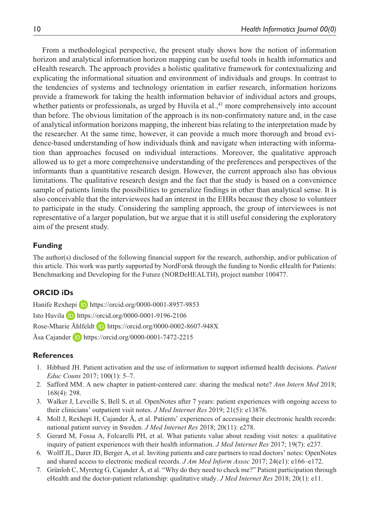From a methodological perspective, the present study shows how the notion of information horizon and analytical information horizon mapping can be useful tools in health informatics and eHealth research. The approach provides a holistic qualitative framework for contextualizing and explicating the informational situation and environment of individuals and groups. In contrast to the tendencies of systems and technology orientation in earlier research, information horizons provide a framework for taking the health information behavior of individual actors and groups, whether patients or professionals, as urged by Huvila et al.,<sup>41</sup> more comprehensively into account than before. The obvious limitation of the approach is its non-confirmatory nature and, in the case of analytical information horizons mapping, the inherent bias relating to the interpretation made by the researcher. At the same time, however, it can provide a much more thorough and broad evidence-based understanding of how individuals think and navigate when interacting with information than approaches focused on individual interactions. Moreover, the qualitative approach allowed us to get a more comprehensive understanding of the preferences and perspectives of the informants than a quantitative research design. However, the current approach also has obvious limitations. The qualitative research design and the fact that the study is based on a convenience sample of patients limits the possibilities to generalize findings in other than analytical sense. It is also conceivable that the interviewees had an interest in the EHRs because they chose to volunteer to participate in the study. Considering the sampling approach, the group of interviewees is not representative of a larger population, but we argue that it is still useful considering the exploratory aim of the present study.

#### **Funding**

The author(s) disclosed of the following financial support for the research, authorship, and/or publication of this article. This work was partly supported by NordForsk through the funding to Nordic eHealth for Patients: Benchmarking and Developing for the Future (NORDeHEALTH), project number 100477.

#### **ORCID iDs**

Hanife Rexhepi **D** <https://orcid.org/0000-0001-8957-9853> Isto Huvila <https://orcid.org/0000-0001-9196-2106> Rose-Mharie Åhlfeldt D <https://orcid.org/0000-0002-8607-948X> Åsa Cajander **iD** <https://orcid.org/0000-0001-7472-2215>

#### **References**

- 1. Hibbard JH. Patient activation and the use of information to support informed health decisions. *Patient Educ Couns* 2017; 100(1): 5–7.
- 2. Safford MM. A new chapter in patient-centered care: sharing the medical note? *Ann Intern Med* 2018; 168(4): 298.
- 3. Walker J, Leveille S, Bell S, et al. OpenNotes after 7 years: patient experiences with ongoing access to their clinicians' outpatient visit notes. *J Med Internet Res* 2019; 21(5): e13876.
- 4. Moll J, Rexhepi H, Cajander Å, et al. Patients' experiences of accessing their electronic health records: national patient survey in Sweden. *J Med Internet Res* 2018; 20(11): e278.
- 5. Gerard M, Fossa A, Folcarelli PH, et al. What patients value about reading visit notes: a qualitative inquiry of patient experiences with their health information. *J Med Internet Res* 2017; 19(7): e237.
- 6. Wolff JL, Darer JD, Berger A, et al. Inviting patients and care partners to read doctors' notes: OpenNotes and shared access to electronic medical records. *J Am Med Inform Assoc* 2017; 24(e1): e166–e172.
- 7. Grünloh C, Myreteg G, Cajander Å, et al. "Why do they need to check me?" Patient participation through eHealth and the doctor-patient relationship: qualitative study. *J Med Internet Res* 2018; 20(1): e11.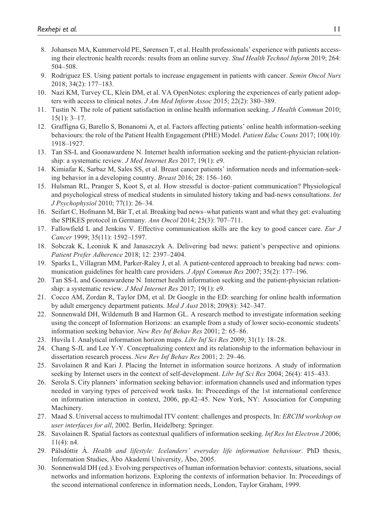- 8. Johansen MA, Kummervold PE, Sørensen T, et al. Health professionals' experience with patients accessing their electronic health records: results from an online survey. *Stud Health Technol Inform* 2019; 264: 504–508.
- 9. Rodriguez ES. Using patient portals to increase engagement in patients with cancer. *Semin Oncol Nurs* 2018; 34(2): 177–183.
- 10. Nazi KM, Turvey CL, Klein DM, et al. VA OpenNotes: exploring the experiences of early patient adopters with access to clinical notes. *J Am Med Inform Assoc* 2015; 22(2): 380–389.
- 11. Tustin N. The role of patient satisfaction in online health information seeking. *J Health Commun* 2010; 15(1): 3–17.
- 12. Graffigna G, Barello S, Bonanomi A, et al. Factors affecting patients' online health information-seeking behaviours: the role of the Patient Health Engagement (PHE) Model. *Patient Educ Couns* 2017; 100(10): 1918–1927.
- 13. Tan SS-L and Goonawardene N. Internet health information seeking and the patient-physician relationship: a systematic review. *J Med Internet Res* 2017; 19(1): e9.
- 14. Kimiafar K, Sarbaz M, Sales SS, et al. Breast cancer patients' information needs and information-seeking behavior in a developing country. *Breast* 2016; 28: 156–160.
- 15. Hulsman RL, Pranger S, Koot S, et al. How stressful is doctor–patient communication? Physiological and psychological stress of medical students in simulated history taking and bad-news consultations. *Int J Psychophysiol* 2010; 77(1): 26–34.
- 16. Seifart C, Hofmann M, Bär T, et al. Breaking bad news–what patients want and what they get: evaluating the SPIKES protocol in Germany. *Ann Oncol* 2014; 25(3): 707–711.
- 17. Fallowfield L and Jenkins V. Effective communication skills are the key to good cancer care. *Eur J Cancer* 1999; 35(11): 1592–1597.
- 18. Sobczak K, Leoniuk K and Janaszczyk A. Delivering bad news: patient's perspective and opinions. *Patient Prefer Adherence* 2018; 12: 2397–2404.
- 19. Sparks L, Villagran MM, Parker-Raley J, et al. A patient-centered approach to breaking bad news: communication guidelines for health care providers. *J Appl Commun Res* 2007; 35(2): 177–196.
- 20. Tan SS-L and Goonawardene N. Internet health information seeking and the patient-physician relationship: a systematic review. *J Med Internet Res* 2017; 19(1): e9.
- 21. Cocco AM, Zordan R, Taylor DM, et al. Dr Google in the ED: searching for online health information by adult emergency department patients. *Med J Aust* 2018; 209(8): 342–347.
- 22. Sonnenwald DH, Wildemuth B and Harmon GL. A research method to investigate information seeking using the concept of Information Horizons: an example from a study of lower socio-economic students' information seeking behavior. *New Rev Inf Behav Res* 2001; 2: 65–86.
- 23. Huvila I. Analytical information horizon maps. *Libr Inf Sci Res* 2009; 31(1): 18–28.
- 24. Chang S-JL and Lee Y-Y. Conceptualizing context and its relationship to the information behaviour in dissertation research process. *New Rev Inf Behav Res* 2001; 2: 29–46.
- 25. Savolainen R and Kari J. Placing the Internet in information source horizons. A study of information seeking by Internet users in the context of self-development. *Libr Inf Sci Res* 2004; 26(4): 415–433.
- 26. Serola S. City planners' information seeking behavior: information channels used and information types needed in varying types of perceived work tasks. In: Proceedings of the 1st international conference on information interaction in context, 2006, pp.42–45. New York, NY: Association for Computing Machinery.
- 27. Maad S. Universal access to multimodal ITV content: challenges and prospects. In: *ERCIM workshop on user interfaces for all*, 2002. Berlin, Heidelberg: Springer.
- 28. Savolainen R. Spatial factors as contextual qualifiers of information seeking. *Inf Res Int Electron J* 2006; 11(4): n4.
- 29. Pálsdóttir Á. *Health and lifestyle: Icelanders' everyday life information behaviour*. PhD thesis, Information Studies, Åbo Akademi University, Åbo, 2005.
- 30. Sonnenwald DH (ed.). Evolving perspectives of human information behavior: contexts, situations, social networks and information horizons. Exploring the contexts of information behavior. In: Proceedings of the second international conference in information needs, London, Taylor Graham, 1999.